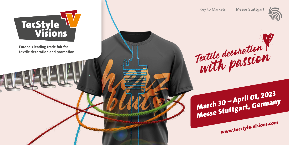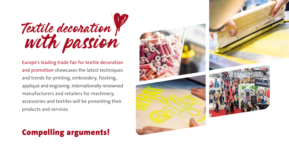

Europe's leading trade fair for textile decoration and promotion showcases the latest techniques and trends for printing, embroidery, flocking, appliqué and engraving. Internationally renowned manufacturers and retailers for machinery, accessories and textiles will be presenting their products and services.

# Compelling arguments!

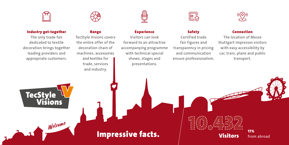

### Industry get-together

The only trade fair dedicated to textile decoration brings together leading providers and appropriate customers.





#### Range

TecStyle Visions covers the entire offer of the decoration chain of machines, accessories and textiles for trade, services

and industry.



### Experience

Visitors can look forward to an attractive accompanying programme with technical special shows, stages and presentations.



### Safety

Certified trade fair figures and transparency in pricing and communication ensure professionalism.



#### Connection

The location of Messe Stuttgart impresses visitors with easy accessibility by car, train, plane and public transport.



Welcome

# Impressive facts. The Constitution of the US of the Constitution of the US of the Constitution of the MISS of the MISS of the Apple of the MISS of the Apple of the US of the MISS of the MISS of the MISS of the MISS of the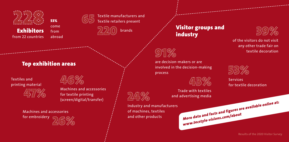

Visitor groups and

BO 24

of the visitors do not visit any other trade fair on textile decoration



Services for textile decoration

Results of the 2020 Visitor Survey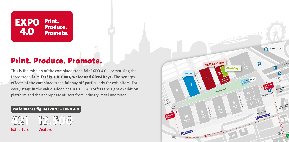

### Print. Produce. Promote.

This is the mission of the combined trade fair EXPO 4.0 – comprising the three trade fairs TecStyle Visions, wetec and GiveADays. The synergy effects of the combined trade fair pay off particularly for exhibitors: For every stage in the value-added chain EXPO 4.0 offers the right exhibition platform and the appropriate visitors from industry, retail and trade.

### Performance figures 2020 – EXPO 4.0